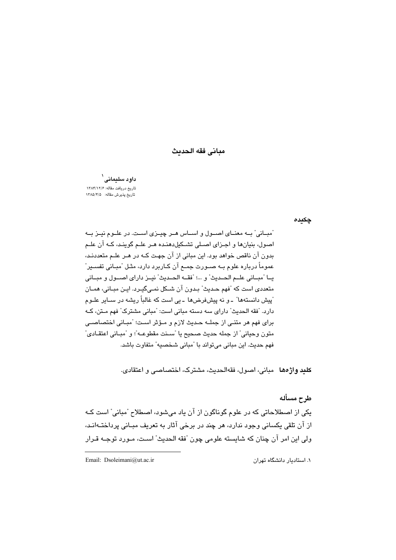## مباني فقه الحديث

داود سلیمانی<sup>۱</sup> تاريخ دريافت مقاله: ١٣٨۴/١٢/٤ تاریخ پذیرش مقاله: ۱۳۸۵/۴/۵

چکیدہ

آمبـانی" بــه معنــای اصــول و اســاس هــر چیــزی اســت. در علــوم نیــز بــه اصول، بنيانها و اجتزاى اصيلى تشيكل هنيده هير عليم گوينيد، كيه آن عليم بدون آن ناقص خواهد بود. این مبانی از آن جهت کـه در هـر علـم متعددنـد، عموماً درباره علوم بـه صـورت جمـع آن کـاربرد دارد، مثـل "مبـانی تفســیر" يــا "مبــاني علــم الحــديث" و ...؛ "فقــه الحــديث" نيــز داراي اصــول و مبــاني متعددی است که "فهم حـدیث" بـدون آن شـکل نمـی¢یـرد. ایـن مبـانی، همـان آییش دانستهها" ـ و نه پیشفرض۵ها ـ پی است که غالباً ریشه در سیایر علیوم دارد. "فقه الحديث" داراي سه دسته مباني است: "مباني مشترک" فهم مـتن، کـه براي فهم هر متنـِّي از جملــه حـديث لازم و مـؤثر اسـت؛ "مبـاني اختصاصــي متون وحياني" از جمله حديث صحيح يا "سـنت مقطوعـه"؛ و "مبـاني اعتقـادي" فهم حديث. اين مباني مي تواند با "مباني شخصيه" متفاوت باشد.

**كليد واژ دها** مياني، اصول، فقهالحديث، مشترك، اختصاصي و اعتقادي.

طرح مسأله

يکي از اصطلاحاتي که در علوم گويناگون از آن ياد مي شوي، اصطلاح "مياني" است کـه از آن تلقی یکسانی وجود ندارد، هر چند در برخی آثار به تعریف مبـانی پرداختــهانـد، ولي اين امر آن چنان كه شايسته علومي چون "فقه الحديث" است، مـورد توجـه قـرار

Email: Dsoleimani@ut.ac.ir

۱. استادیار دانشگاه تهران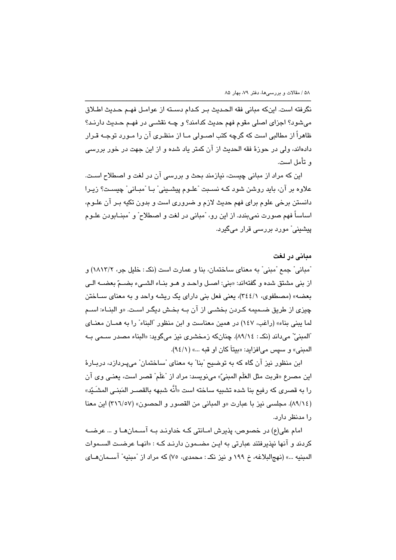نكرفته است. اينكه مباني فقه الحـديث بـر كـدام دسـته از عوامـل فهـم حـديث اطـلاق می شود؟ اجزای اصلی مقوم فهم حدیث کدامند؟ و چـه نقشـی در فهـم حـدیث دارنـد؟ ظاهراً از مطالبی است که گرچه کتب اصــولی مــا از منظـری آن را مــورد توجــه قـرار دادهاند، ولي در حوزهٔ فقه الحدیث از آن کمتر یاد شده و از این جهت در خور بررسی و تأمل است.

این که مراد از مبانی چیست، نیازمند بحث و بررسی آن در لغت و اصطلاح اسـت. علاوه بر آن، بايد روشن شود كـه نسـبت "علـوم پيشـيني" بـا "مبـاني" چيسـت؟ زيـرا دانستن برخی علوم برای فهم حدیث لازم و ضروری است و بدون تکیه بـر آن علـوم، اساساً فهم صورت نمي بندد. از اين رو، "مباني در لغت و اصطلاح" و "مبنــابودن علــوم ڀيشيني ٌ مورد پررسي قرار ميگيرد.

#### مبانی در لغت

"مباني" جمع "مبني" به معناي ساختمان، بنا و عمارت است (نکـ : خليل جر، ١٨١٣/٢) و از بني مشتق شده و گفتهاند: «بني: اصـل واحـد و هــو بنــاء الشــيء بضــمّ بعضــه الــي بعضه» (مصطفوي، ٣٤٤/١)، يعني فعل بني داراي يک ريشه واحد و به معناي سـاختن چیزی از طریق ضـمیمه کـردن بخشـی از آن بـه بخـش دیگـر اسـت. «و البنــاء: اســم لما يبني بناء» (راغب، ١٤٧) در همين معناست و ابن منظور "البناء" را به همـان معنـاي ّالمبنيِّ" مي داند (نکه : ٨٩/١٤). چنانکه زمخشري نيز ميگويد: «البناء مصدر سـمي بـه المبنى» و سيس مى افزايد: «بيتاً كان او قبه ...» (٩٤/١).

ابن منظور نيز آن گاه كه به توضيح "بنا" به معناي "ساختمان" ميپردازد، دربـارهٔ اين مصرع «قربت مثل العَلَم المبنيّ» مينويسد: مراد از "عَلَم" قصر است، يعنـي وي آن را به قصري كه رفيع بنا شده تشبيه ساخته است «أَنَّه شبهه بالقصـر المَبنـي المشَـبِّد» (٨٩/١٤). مجلسي نيز با عبارت «و المباني من القصور و الحصون» (٣١٦/٥٧) اين معنا را مدنظر دارد.

امام علي(ع) در خصوص، پذيرش امــانتي كـه خداونـد بــه آســمانهــا و … عرضــه کردند و آنها نپذیرفتند عبارتی به ایـن مضــمون دارنـد کـه : «انهـا عرضـت الســموات المبنيه ...» (نهجالبلاغه، خ ١٩٩ و نيز نک: محمدي، ٧٥) که مراد از "مبنيه" آسـمان هـاي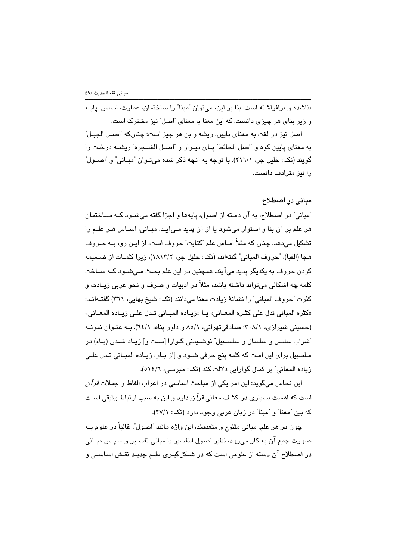بناشده و برافراشته است. بنا بر این، میتوان "مبنا" را ساختمان، عمارت، اساس، پایـه و زیر بنای هر چیزی دانست، که این معنا با معنای "اصل" نیز مشترک است.

اصل نيز در لغت به معناي پايين، ريشه و بن هر چيز است؛ چنانکه "اصـل الـجبـل" به معناي پايين كوه و "اصل الحائط" پــاي ديـوار و "اصــل الشــجره" ريشــه درخـت را گویند (نکـ : خلیل جر، ۲۱٦/۱). با توجه به آنچه ذکر شده میتـوان "مبـانی" و "اصــول" را نیز مترادف دانست.

# مبانی در اصطلاح

ّمبانی" در اصطلاح، به آن دسته از اصول، پایهها و اجزا گفته میشــود کــه ســاختمان هر علم پر آن بنا و استوار میشود یا از آن پدید مے آیید. میبانی، اسپاس هیر علیم را تشکیل میدهد، چنان که مثلاً اساس علم "کتابت" حروف است، از ایـن رو، بــه حـروف هجا (الفبا)، "حروف المباني" گفتهاند، (نكـ : خليل جر، ١٨١٣/٢)، زيرا كلمــات از ضــميمه کردن حروف به یکدیگر پدید میآیند. همچنین در این علم بحـث مـیشـود کـه ســاخت کلمه چه اشکالی میتواند داشته باشد، مثلاً در ادبیات و صرف و نحو عربی زیـادت و كثرت "حروف المباني" را نشانهٔ زيادت معنا مي،دانند (نكـ : شيخ بهايي، ٣٦١) گفتــهانــد: «كثره المباني تدل على كثـره المعـاني» يـا «زيـاده المبـاني تـدل علـى زيـاده المعـاني» (حسینی شیرازی، ۳۰۸/۱؛ صادقی تهرانی، ۵/۱ و داور پناه، ۱٤/۱). بـه عنـوان نمونـه ّشراب سلسل و سلسال و سلسـبیل" نوشـیدنی گـوارا [سـت و] زیـاد شـدن (بـاء) در سلسبیل برای این است که کلمه پنج حرفی شـود و [از بـاب زیـاده المبـانی تـدل علـی زياده المعاني] بر كمال گوارايي دلالت كند (نكـ : طبرسي، ١٤/٦).

ابن نحاس میگوید: این امر یکی از مباحث اساسی در اعراب الفاظ و جملات *قرآن* است که اهمیت بسیاری در کشف معان*ی قرآن د*ارد و این به سبب ارتباط وثیقی اسـت که بین "معنا" و "مبنا" در زبان عربی وجود دارد (نکه: ۴۷/۱).

چون در هر علم، مبانی متنوع و متعددند، این واژه مانند "اصول"، غالباً در علوم ب صورت جمع آن به كار مى رود، نظير اصول التفسير يا مبانى تفسـير و … پـس مبـانى در اصطلاح آن دسته از علومی است که در شــکلگیـری علـم جدیـد نقـش اساســی و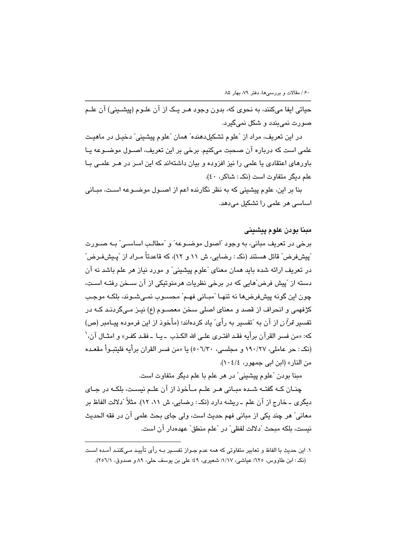حياتي ايفا ميكنند، به نحوي كه، بدون وجود هـر يـك از آن علـوم (پيشـيني) آن علـم صورت نمي بندد و شكل نمي گيرد.

در اين تعريف، مراد از "علوم تشكيلدهنده" همان "علوم پيشيني" دخيـل در ماهيـت علمي است كه درباره آن صحبت ميكنيم. برخي بر اين تعريف، اصــول موضــوعه يــا باورهای اعتقادی یا علمی را نیز افزوده و بیان داشتهاند که این امـر در هـر علمـی بـا علم ديگر متفاوت است (نک: شاکر، ٤٠).

بنا بر این، علوم پیشینی که به نظر نگارنده اعم از اصـول موضـوعه اسـت، مبـانی اساسی هر علمی را تشکیل میدهد.

# مينا يودن علوم پيشيني

برخی در تعریف مبانی، به وجود "اصول موضــوعه" و "مطالـب اساســی" بــه صــورت ّبِيشفرض" قائل هستند (نکـ : رضایی، ش ۱۱ و ۱۲)، که قاعدتاً مـراد از "پـیشفـرض" در تعریف ارائه شده باید همان معنای "علوم پیشینی" و مورد نیاز هر علم باشد نه آن دسته از "پیش فرض"هایی که در برخی نظریات هرمنوتیکی از آن ســخن رفتــه اسـت، چون این گونه پیشفررضها نه تنهـا "مبـانی فهـم" محسـوب نمـی شـوند، بلکـه موجـب كژفهمي و انحراف از قصد و معناي اصلي سخن معصــوم (ع) نيــز مــيگردنــد كــه در تفسير قرآن از آن به "تفسير به رأى" ياد كردهاند؛ (مأخوذ از اين فرموده پيـامبر (ص) كه: «من فسر القرآن برأيه فقـد افتـرى علـى الله الكـذب ـ يـا ـ فقـد كفـر» و امثـال آن، ` (نکه: حر عاملي، ١٩٠/٢٧ و مجلسي، ٥٠٦/٣٠) يا «من فسر القرآن برأيه فليتبوأ مقعـده من النار» (ابن ابي جمهور، ١٠٤/٤).

مبنا بودن "علوم پیشینی" در هر علم با علم دیگر متفاوت است.

چنــان کــه گفتــه شــده مبــانی هــر علــم مــأخوذ از آن علــم نیسـت، بلکــه در جــای ديگري ــ خارج از آن علم ــ ريشه دارد (نکــ : رضايي، ش ٨١، ١٢). مثلاً "دلالت الفاظ بر معاني" هر چند يكي از مباني فهم حديث است، ولي جاي بحث علمي آن در فقه الحديث نيست، بلكه مبحث "دلالت لفظي" در "علم منطق" عهدهدار آن است.

١. اين حديث با الفاظ و تعابير متفاوتي كه همه عدم جـواز تفســير بــه رأى تأييـد مـيكننـد آمـده اسـت (نکه: ابن طاووس، ٦٢٥؛ عیاشی، ١/١٧؛ شعیری، ٤٩؛ علی بن یوسف حلی، ٨٩ و صدوق، ٢٥٦/١).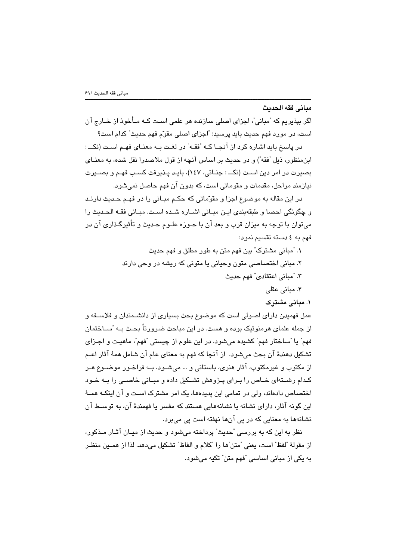#### مباني فقه الحدىث

اگر بیذیریم که "میانی"، اجزای اصلی سازنده هر علمی است کـه مـأخوذ از خـارج آن است، در مورد فهم حديث بايد پرسيد: "اجزاي اصلي مقوّم فهم حديث" كدام است؟

در پاسخ باید اشاره کرد از آنجا کـه "فقـه" در لغـت بـه معنـای فهـم اسـت (نکـــ: ابنمنظور، ذيل "فقه") و در حديث بر اساس آنچه از قول ملاصدرا نقل شده، به معنــاي يصيرت در امر دين است (نکــ : جنـاتي، ١٤٧)، بابـد پـذيرفت کسب فهـم و بصـيرت نيازمند مراحل، مقدمات و مقوماتي است، كه بدون آن فهم حاصل نمي شويد.

در اين مقاله به موضوع اجزا و مقوّماتي كه حكـم مبــاني را در فهـم حـديث دارنـد و چگونگي احصا و طبقهبندي ايـن مبـاني اشـاره شـده اسـت. مبـاني فقـه الحـديث را میتوان با توجه به میزان قرب و بعد آن با حـوزه علـوم حـدیث و تأثیرگـذاری آن در فهم به ٤ دسته تقسیم نمود:

- ۱. "مبانی مشترک" بین فهم متن به طور مطلق و فهم حدیث ۲. مبانی اختصاصی متون وحیانی یا متونی که ریشه در وحی دارند ٣. "مباني اعتقادي" فهم حديث ۴. مبانی عقلی
	- ۱. مبانی مشترک

عمل فهمیدن دارای اصولی است که موضوع بحث بسیاری از دانشــمندان و فلاســفه و از جمله علمای هرمنوتیک بوده و هست. در این مباحث ضرورتاً بحـث بـه "ســاختمان فهم" يا "ساختار فهم" كشيده مىشود. در اين علوم از چيستى "فهم"، ماهيـت و اجـزاى تشکیل دهندهٔ آن بحث میشود. از آنجا که فهم به معنای عام آن شامل همهٔ آثار اعـم از مکتوب و غیرمکتوب، آثار هنری، باستانی و … می شـود، بــه فراخـور موضــوع هـر کـدام رشــتهای خــاص را بـرای پـِژوهش تشــکیل داده و مبــانی خاصــی را بــه خـود اختصاص دادهاند، ولی در تمامی این پدیدهها، یک امر مشترک اسـت و آن اینکـه همـهٔ این گونه آثار، دارای نشانه یا نشانههایی هستند که مفسر یا فهمندهٔ آن، به توسـط آن نشانهها به معنایی که در یی آنها نهفته است یی میبرد.

نظر به این که به بررسی ًحدیث ً پرداخته میشود و حدیث از میـان آثـار مـذکور، از مقولهٔ "لفظ" است، يعني "متن"ها را "كلام و الفاظ" تشكيل مىدهد. لذا از همــين منظـر به یکی از مبانی اساسی "فهم متن" تکیه میشود.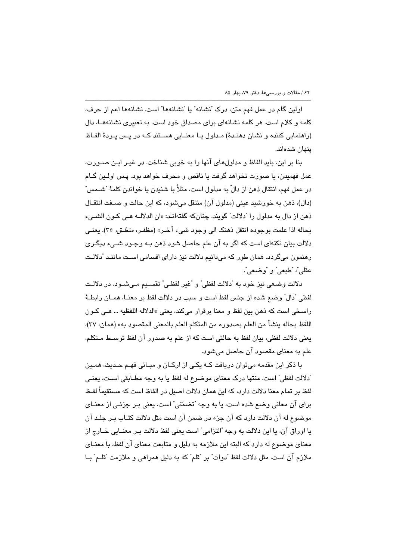اولین گام در عمل فهم متن، درک "نشانه" یا "نشانهها" است. نشانهها اعم از حرف، کلمه و کلام است. هر کلمه نشانهای برای مصداق خود است. به تعبیری نشانههـا، دال (راهنمایی کننده و نشان دهنـدهٔ) مـدلول یـا معنـایی هسـتند کـه در پـس پـردهٔ الفـاظ ينهان شدهاند.

بنا بر این، باید الفاظ و مدلولهای آنها را به خوبی شناخت. در غیـر ایـن صــورت، عمل فهميدن، يا صورت نخواهد گرفت يا ناقص و محرف خواهد بود. پـس اولــين گــام در عمل فهم، انتقال ذهن از دالّ به مدلول است، مثلاً با شنيدن يا خواندن كلمهٔ "شــمس" (دال)، ذهن به خورشيد عيني (مدلول آن) منتقل مي شود، كه اين حالت و صـفت انتقـال ذهن از دال به مدلول را "دلالت" گويند. چنانكه گفتهانـد: «ان الدلالـه هـي كـون الشـيء بحاله اذا علمت بوجوده انتقل ذهنك الى وجود شيء آخـر» (مظفـر، *منطــق،* ٣٥)، يعنـي دلالت بيان نکتهای است که اگر به آن علم حاصل شود ذهن بـه وجـود شــیء دیگـری رهنمون میگردد. همان طور که میدانیم دلالت نیز دارای اقسامی اسـت ماننـد "دلالـت عقلي"، "طبعي" و "وضعي".

دلالت وضعي نيز خود به "دلالت لفظي" و "غير لفظـي" تقسـيم مـيشــود. در دلالـت لفظی "دال" وضـع شده از جنس لفظ است و سبب در دلالت لفظ بر معنــا، همــان رابطــهٔ راسخي است كه ذهن بين لفظ و معنا برقرار ميكند، يعني «الدلاله اللفظيه … هـي كـون اللفظ بحاله ينشأ من العلم بصدوره من المتكلم العلم بالمعنى المقصود به» (همان، ٣٧)، يعني دلالت لفظي، بيان لفظ به حالتي است كه از علم به صدور آن لفظ توسـط مـتكلم، علم به معنای مقصود آن حاصل میشود.

با ذکر این مقدمه میتوان دریافت کـه یکـی از ارکـان و مبـانی فهـم حـدیث، همـین "دلالت لفظي" است. منتها درک معناي موضوع له لفظ يا به وجه مطــابقي اسـت، يعنـي لفظ بر تمام معنا دلالت دارد، که این همان دلالت اصبل در الفاظ است که مستقیماً لفـظ برای آن معانی وضع شده است، یا یه وجه "تضمّنی" است، یعنی پیر چزئی از معنیای موضوع له آن دلالت دارد که آن جزء در ضمن آن است مثل دلالت کتـاب بـر جلـد آن يا اوراق آن، يا اين دلالت به وجه "التزامي" است يعني لفظ دلالت بـر معنـايي خــارج از معنای موضوع له دارد که البته این ملازمه به دلیل و متابعت معنای آن لفظ، با معنــای ملازم آن است. مثل دلالت لفظ "دوات" بر "قلم" كه به دليل همراهي و ملازمت "قلـم" بــا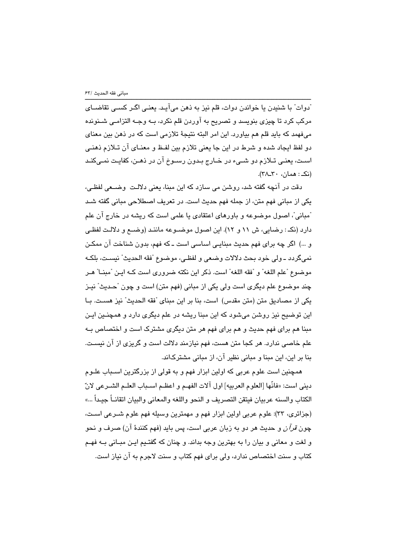ّدوات" با شنيدن يا خواندن دوات، قلم نيز به ذهن ميآيـد. يعنـي اگـر كسـي تقاضــاي مرکب کرد تا چیزی بنویسد و تصریح به آوردن قلم نکرد، بــه وجــه التزامــی شــنونده میفهمد که باید قلم هم بیاورد. این امر البته نتیجهٔ تلازمی است که در ذهن بین معنای دو لفظ ايجاد شده و شرط در اين جا يعني تلازم بين لفـظ و معنـاي آن تـلازم ذهنـي اسـت، يعنـي تـلازم دو شـيء در خـارج بـدون رسـوخ آن در ذهـن، كفايـت نمـيكنـد (نک: همان، ٣٠ـ٢٨).

دقت در آنچه گفته شد، روشن می سازد که این مینا، یعنی دلالت وضیعی لفظی، یکی از مبانی فهم متن، از جمله فهم حدیث است. در تعریف اصطلاحی مبانی گفته شـد ّمبانی"، اصول موضوعه و باورهای اعتقادی یا علمی است که ریشه در خارج آن علم دارد (نکه: رضایی، ش ۱۱ و ۱۲). این اصول موضـوعه ماننـد (وضــع و دلالـت لفظـی و …) اگر چه برای فهم حدیث مبنایے اساسی است ـ که فهم، بدون شناخت آن ممکن نمي گردد ــ ولي خود بحث دلالات وضعي و لفظـي، موضوع "فقه الـحديث" نيسـت، بلكـه موضوع "علم اللغه" و "فقه اللغه" است. ذكر اين نكته ضروري است كـه ايـن "مبنــا" هـر چند موضوع علم دیگری است ولی یکی از مبانی (فهم متن) است و چون "حـدیث" نیـز يكي از مصاديق متن (متن مقدس) است، بنا بر اين مبناي "فقه الحديث" نيز هسـت. بـا این توضیح نیز روشن میشود که این مبنا ریشه در علم دیگری دارد و همچنـین ایـن مبنا هم برای فهم حدیث و هم برای فهم هر متن دیگری مشترک است و اختصاص بـه علم خاصبی ندارد. هر کجا متن هست، فهم نیازمند دلالت است و گریزی از آن نیسـت. بنا بر این، این مبنا و مبانی نظیر آن، از مبانی مشترکاند.

همچنین است علوم عربی که اولین ابزار فهم و به قولی از بزرگترین اسـباب علـوم ديني است: «فانَّها [العلوم العربيه] اول آلات الفهـم و اعظـم اسـباب العلـم الشـرعي لانّ الكتاب والسنه عربيان فيتقن التصريف و النحو واللغه والمعاني والبيان اتقانــاً جيـداً …» (جزائري، ٣٣): علوم عربي اولين ابزار فهم و مهمترين وسيله فهم علوم شـرعي اسـت، چون *قرآن* و حديث هر دو به زبان عربي است، پس بايد (فهم كنندهٔ آن) صرف و نحو و لغت و معانی و بیان را به بهترین وجه بداند. و چنان که گفتـیم ایـن مبـانی بـه فهـم کتاب و سنت اختصاص ندارد، ولی برای فهم کتاب و سنت لاجرم به آن نیاز است.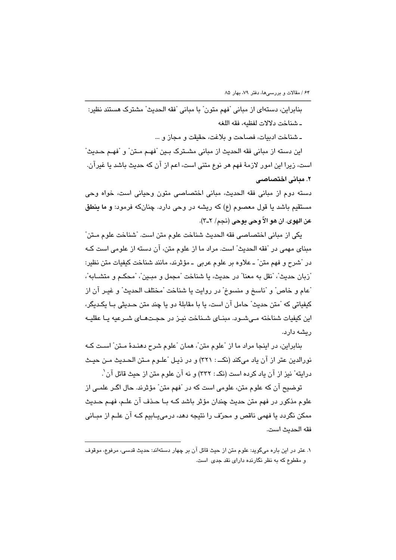بنابراين، دستهای از مبانی "فهم متون" با مبانی "فقه الحدیث" مشترک هستند نظیر: ـ شناخت دلالات لفظيه، فقه اللغه

ـ شناخت ادبيات، فصاحت و بلاغت، حقيقت و مجاز و …

اين دسته از مباني فقه الحديث از مباني مشـترک بـين "فهـم مـتن" و "فهـم حـديث" است، زیرا این امور لازمهٔ فهم هر نوع متنی است، اعم از آن که حدیث باشد یا غیرآن. ۲. میانی اختصاصی

دسته دوم از مبانی فقه الحدیث، مبانی اختصاصی متون وحیانی است، خواه وحی مستقيم باشد يا قول معصوم (ع) كه ريشه در وحي دارد. چنانكه فرمود: و ما بنطق عن الهوى. ان هو الاّ وحي يوحي (نجم/ ٢-٣).

يكي از مباني اختصاصي فقه الحديث شناخت علوم متن است. "شناخت علوم مـتن" مبنای مهمی در "فقه الحدیث" است. مراد ما از علوم متن، آن دسته از علومی است کـه در "شرح و فهم متن" ــ علاوه بر علوم عربي ــ مؤثرند، مانند شناخت كيفيات متن نظير: "زيان حديث"، "نقل به معنا" در حديث، يا شناخت "مجمل و ميين"، "محكـم و متشــابه"، "عام و خاص" و "ناسخ و منسوخ" در روايت يا شناخت "مختلف الحديث" و غيـر آن از کيفياتي که "متن حديث" حامل آن است، يا با مقابلهٔ دو يا چند متن حـديثي بـا يکـديگر، این کیفیات شناخته مے شــود. مبنــای شــناخت نیــز در حجــتھــای شــرعیه یــا عقلیــه رىشە دارد.

بنابراین، در اینجا مراد ما از "علوم متن"، همان "علوم شرح دهندهٔ مـتن" اسـت کـه نورالدين عتر از آن ياد ميكند (نكـــ : ٣٢١) و در ذيـل "علــوم مــتن الـحـديث مــن حيـث درايته" نيز از آن ياد كرده است (نكـ : ٣٣٢) و نه آن علوم متن از حيث قائل آن`.

توضيح آن كه علوم متن، علومي است كه در "فهم متن" مؤثرند. حال اگـر علمـي از علوم مذکور در فهم متن حدیث چندان مؤثر باشد کـه بـا حـذف آن علـم، فهـم حـدیث ممکن نگردد یا فهمی ناقص و محرّف را نتیجه دهد، درمی پـابیم کـه آن علـم از مبـانی فقه الحديث است.

۱. عتر در این باره میگوید: علوم متن از حیث قائل آن بر چهار دستهاند: حدیث قدسی، مرفوع، موقوف و مقطوع که به نظر نگارنده دارای نقد جدی است.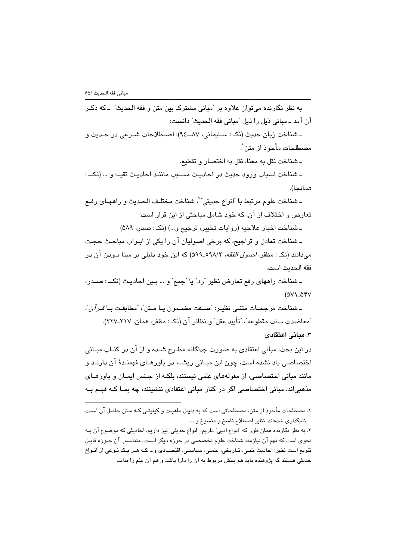به نظر نگارنده مي توان علاوه بر "مباني مشترک بين متن و فقه الحديث" ــ که ذکـر آن آمد ـ مباني ذيل را ذيل "مباني فقه الحديث" دانست: ـ شناخت زبان حديث (نکـ : سـليماني، ٨٧ـــ٩٤)؛ اصــطلاحات شــرعي در حـديث و مصطلحات مأخوذ از متن`. ـ شناخت نقل به معنا، نقل به اختصار و تقطيع. ـ شناخت اسباب ورود حديث در احاديث مسـبب ماننـد احاديـث تقيـه و … (نكــ : همانحا). ـ شناخت علوم مرتبط با "انواع حديثي" ، شناخت مختلف الحـديث و راههـاي رفـع تعارض و اختلاف از آن، که خود شامل مباحثی از این قرار است: ـ شناخت اخبار علاجيه (روايات تخيير، ترجيح و ...) (نکـ : صدر، ٥٨٩)

۔ شناخت تعادل و تراجیح، که برخی اصولیان آن را یکی از ابـواب مباحـث حجـت میدانند (نکه: مظفر، *اصول الفقه،* ۶/۸/۲-۵۹۹) که این خود دلیلی بر مبنا بـودن آن در فقه الحديث است،

ـ شناخت راههاي رفع تعارض نظير "رد" يا "جمع" و … بـين احاديـث (نكــ : صـدر،  $(0V)$ - $04V$ 

ـ شناخت مرجحـات متنـى نظيـر: "صــفت مضــمون يـا مـتن"، "مطابقـت بـا *قـرآن*"، "معاضدت سنت مقطوعه"، "تأييد عقل" و نظائر آن (نكـ : مظفر، همان، ٢١٧-٢٢٧). ۳. میانی اعتقادی

در این بحث، مبانی اعتقادی به صورت جداگانه مطـرح شـده و از آن در کنــاب مبــانی اختصاصی یاد نشده است، چون این مبـانی ریشــه در باورهــای فهمنـدهٔ آن دارنـد و مانند مبانی اختصاصی، از مقولههای علمی نیستند، بلکـه از جـنس ایمـان و باورهـای مذهبی اند. مبانی اختصاصی اگر در کنار مبانی اعتقادی ننشینند، چه بسا کـه فهـم بـه

۱. مصطلحات مأخوذ از متن، مصطلحاتی است که به دلیـل ماهیـت و کیفیتـی کـه مـتن حامـل آن اسـت نامگذاری شدهاند، نظیر اصطلاح ناسخ و منسوخ و ...

۲. به نظر نگارنده همان طور که "انواع ادبی" داریم، "انواع حدیثی" نیز داریم. احادیثی که موضوع آن بـه نحوی است که فهم آن نیازمند شناخت علوم تخصصی در حوزه دیگر است، متناسـب آن حـوزه قابـل تنویع است نظیر: احادیث طبع، تـاریخی، علمـی، سیاسـی، اقتصـادی و… کـه هـر یـک نـوعی از انـواع حدیثی هستند که پژوهنده باید هم بینش مربوط به آن را دارا باشد و هم آن علم را بداند.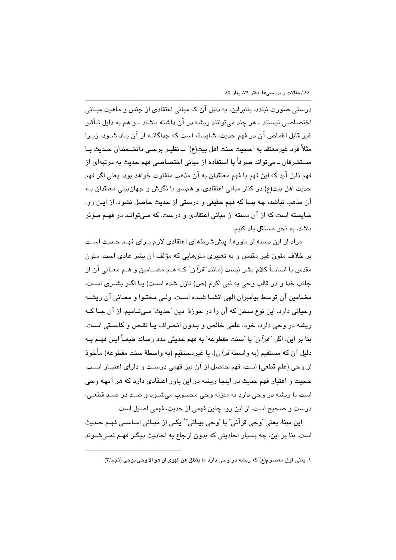درستی صورت نبندد. بنابراین، به دلیل آن که مبانی اعتقادی از جنس و ماهیت مبـانی اختصاصی نیستند ـ هر چند می توانند ریشه در آن داشته باشند ـ و هم به دلیل تـأثیر غیر قابل اغماض آن در فهم حدیث، شایسته است که جداگانــه از آن پــاد شــود، زیـرا مثلاً فرد غيرمعتقد به "حجيت سنت اهل بيت(ع)" ــ نظيـر برـخــي دانشــمندان حـديث يــا مستشرقان ـ می تواند صرفاً با استفاده از مبانی اختصاصی فهم حدیث به مرتبهای از فهم نایل آید که این فهم با فهم معتقدان به آن مذهب متفاوت خواهد بود، یعنی اگر فهم حديث اهل بيت(ع) در كنار مباني اعتقادي، و همسو با نگرش و جهانبيني معتقدان بـه آن مذهب نباشد، چه بسا که فهم حقیقی و درستی از حدیث حاصل نشود. از ایـن رو، شایسته است که از آن دسته از مبانی اعتقادی و درست، که مـی توانـد در فهـم مـؤثر باشد، به نحو مستقل یاد کنیم.

مراد از این دسته از باورها، پیششرطهای اعتقادی لازم بـرای فهـم حـدیث اسـت بر خلاف متون غیر مقدس و به تعبیری متنهایی که مؤلف آن بشر عادی است. متون مقدس یا اساساً کلام بشر نیست (مانن*د "قرآن*" کـه هـم مضـامین و هـم معـانی آن از جانب خدا و در قالب وجی به نبی اکرم (ص) نازل شده است) بـا اگـر بشـری اسـت، مضامین آن توسط پیامبران الهی انشـا شـده اسـت، ولـی محتـوا و معـانی آن ریشـه وحياني دارد. اين نوع سخن که آن را در حوزهٔ ِ دين "حديث" مے،نــاميم، از آن جـا کــه ریشه در وحی دارد، خود، علمی خالص و بـدون انحـراف یـا نقـص و کاسـتی اسـت. بنا بر اين، اگر "ق*رآن*" يا "سنت مقطوعه" به فهم حديثي مدد رساند طبعـاً ايـن فهـم بـه دليل آن كه مستقيم (به واسطهٔ *قرآن)*، يا غيرمستقيم (به واسطهٔ سنت مقطوعه) مأخوذ از وحی (علم قطعی) است، فهم حاصل از آن نیز فهمی درسـت و دارای اعتبـار اسـت. حجیت و اعتبار فهم حدیث در اینجا ریشه در این باور اعتقادی دارد که هر آنچه وحی است يا ريشه در وحي دارد به منزله وحي محسوب مي شـود و صـد در صـد قطعـي، درست و صحیح است. از این رو، چنین فهمی از حدیث، فهمی اصبل است.

اين مبنا، يعني "وحي قرآني" يا "وحي بيـاني"` يكـي از مبــاني اسـاســي فهـم حـديث است. بنا بر این، چه بسیار احادیثی که بدون ارجاع به احادیث دیگر فهـم نمـی شـوند

١. يعني قول معصوم(ع) كه ريشه در وحي دارد ما ينطق عن الهوى ان هو الا وحي يوحي (نجم/٣).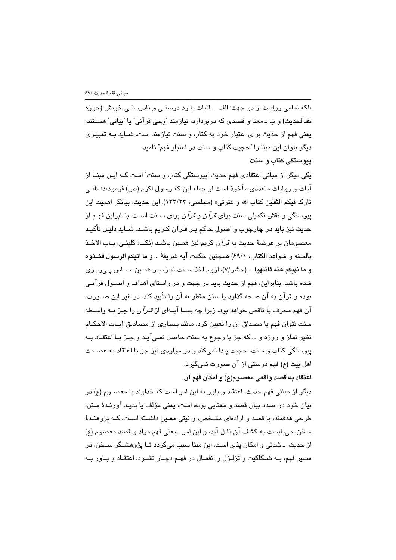بلکه تمامی روایات از دو جهت: الف ـ اثبات یا رد درستـی و نادرستـی خویش (حوزه نقدالحديث) و ب ــ معنا و قصدي كه دربردارد، نيازمند "وحي قرآني" يا "بياني" هســتند، یعنی فهم از حدیث برای اعتبار خود به کتاب و سنت نیازمند است. شــاید بــه تعبیــری دیگر بتوان این مبنا را "حجیت کتاب و سنت در اعتبار فهم" نامید. يبوستكي كتاب و سنت

یکی دیگر از مبانی اعتقادی فهم حدیث "پیوستگی کتاب و سنت" است کـه ایـن مبنــا از آیات و روایات متعددی مأخوذ است از جمله این که رسول اکرم (ص) فرمودند: «انــی تارك فيكم الثقلين كتاب الله و عترتي» (مجلسي، ١٣٣/٢٣). اين حديث، بيانگر اهميت اين بیوستگی و نقش تکمیلی سنت برای *قرآن* و *قرآن بر*ای سبنت است. بنیابراین فهیم از حدیث نیز باید در چارچوب و اصول حاکم پیر قبرآن کریم باشید. شباید دلیل تأکید معصومان بر عرضهٔ حدیث به *قرآن* کریم نیز همـین باشـد (نکــ : کلینـی، بـاب الاخـذ بالسنه و شواهد الكتاب، ٤٩/١/ همچنين حكمت آيه شريفةً ... و ما انيكم الرسول فخـذوه و ما نهيكم عنه فانتهوا ... (حشر/٧)، لزوم اخذ سـنت نيـز، بـر همـين اسـاس پـىريـزى شده باشد. بنابراین، فهم از حدیث باید در جهت و در راستای اهداف و اصــول قرآنــی بوده و قرآن به آن صحه گذارد یا سنن مقطوعه آن را تأیید کند. در غیر این صـورت، آن فهم محرف یا ناقص خواهد بود. زیرا چه بســا آیــهای از *قـرآن* را جـز بــه واســطه سنت نتوان فهم يا مصداق آن را تعيين كرد. مانند بسياري از مصاديق آيـات الاحكـام نظیر نماز و روزه و … که جز با رجوع به سنت حاصل نمـیآیـد و جـز بـا اعتقـاد بــه پیوستگی کتاب و سنت، حجیت پیدا نمیکند و در مواردی نیز جز با اعتقاد به عصــمت اهل بيت (ع) فهم درستي از آن صورت نميگيرد.

اعتقاد به قصد واقعی معصوم(ع) و امکان فهم آن

دیگر از مبانی فهم حدیث، اعتقاد و باور به این امر است که خداوند یا معصـوم (ع) در بيان خود در صدد بيان قصد و معنايي بوده است، يعني مؤلف يا پديـد آورنـدۀ مـتن، طرحی هدفمند، با قصد و ارادهای مشخص، و نبتی معـین داشــته اسـت، کــه پژوهنـدهٔ سخن، ميبايست به كشف آن نايل آيد، و اين امر ــ يعني فهم مراد و قصد معصوم (ع) از حدیث ۔شدنی و امکان پذیر است. این مبنا سبب میگردد تـا پژوهشـگر سـخن، در مسير فهم، بـه شـكاكيت و تزلـزل و انفعـال در فهـم دچـار نشـود. اعتقـاد و بـاور بـه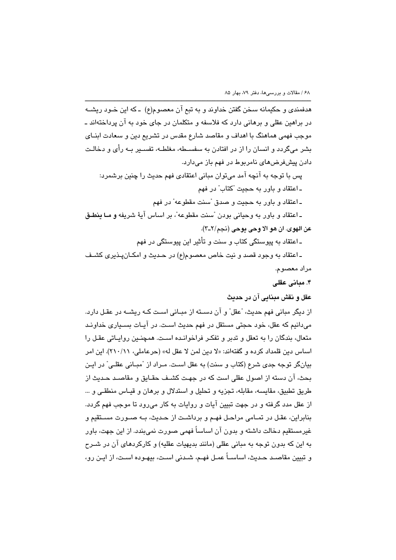هدفمندي و حکیمانه سخن گفتن خداوند و به تبع آن معصوم(ع) -که این خـود ریشــه در براهین عقلی و برهانی دارد که فلاسفه و متکلمان در جای خود به آن پرداختهاند ــ موجب فهمی هماهنگ با اهداف و مقاصد شارع مقدس در تشریع دین و سعادت ابنــای بشر میگردد و انسان را از در افتادن به سفسـطه، مغلطـه، تفسـیر بــه رأی و دخالـت دادن پیشفرضهای نامربوط در فهم باز میدارد.

پس با توجه به آنچه آمد میتوان مبانی اعتقادی فهم حدیث را چنین برشمرد: ـ اعتقاد و باور به حجيت "کتاب" در فهم

ـ اعتقاد و باور به حجیت و صدق "سنت مقطوعه" در فهم

ـ اعتقاد و باور به وحياني بودن "سنت مقطوعه"، بر اساس آيهٔ شريفه و مـا بنطـق عن الهوى. ان هو الا وحي يوحي (نجم/٢\_٣).

ـ اعتقاد به پیوستگی کتاب و سنت و تأثیر این پیوستگی در فهم

ـ اعتقاد به وجود قصد و نيت خاص معصوم(ع) در حـديث و امكـانپـذيرى كشـف مراد معصوم.

۴. مبانی عقلی

## عقل و نقش مبنايي آن در حديث

از دیگر مبانی فهم حدیث، "عقل" و آن دسـته از مبـانی اسـت کـه ریشــه در عقـل دارد. مي دانيم كه عقل، خود حجتي مستقل در فهم حديث است. در آيـات بسـياري خداونـد متعال، بندگان را به تعقل و تدبر و تفکـر فراخوانـده اسـت. همچنـین روایـاتی عقـل را اساس دين قلمداد كرده و گفتهاند: «لا دين لمن لا عقل له» (حرعاملي، ٢١٠/١١). اين امر بيانگر توجه جدي شرع (كتاب و سنت) به عقل است. مـراد از "مبـاني عقلـي" در ايـن بحث، آن دسته از اصول عقلی است که در جهت کشـف حقـایق و مقاصـد حـدیث از طريق تطبيق، مقايسه، مقابله، تجزيه و تحليل و استدلال و برهان و قيـاس منطقـي و … از عقل مدد گرفته و در جهت تبیین آیات و روایات به کار می٫رود تا موجب فهم گردد. بنابراين، عقـل در تمـامي مراحـل فهـم و برداشـت از حـديث، بـه صـورت مسـتقيم و غیرمستقیم دخالت داشته و بدون آن اساساً فهمی صورت نمی بندد. از این جهت، باور به این که بدون توجه به مبانی عقلی (مانند بدیهیات عقلیه) و کارکردهای آن در شــرح و تبیین مقاصـد حـدیث، اساســاً عمـل فهـم، شـدنی اسـت، بیهـوده اسـت، از ایـن رو،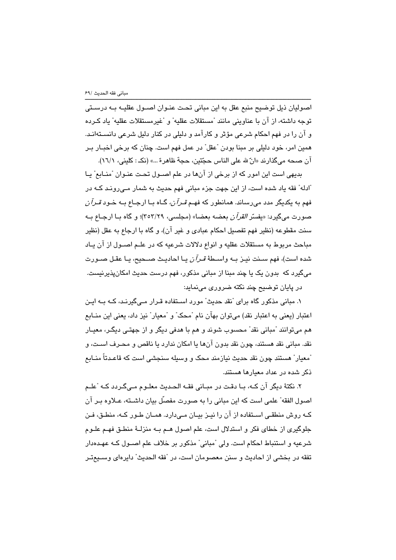اصوليان ذيل توضيح منبع عقل به اين مباني تحت عنـوان اصـول عقليـه بـه درسـتي توجه داشته، از آن با عناويني مانند "مستقلات عقليه" و "غيرمستقلات عقليه" ياد كـرده و آن را در فهم احکام شرعی مؤثر و کارآمد و دلیلی در کنار دلیل شرعی دانســتهانـد. همين امر، خود دليلي بر مبنا بودن "عقل" در عمل فهم است. چنان كه برخي اخبـار بـر آن صحه ميگذارند «انّ لله على الناس حجّتين، حجة ظاهرة …» (نكـ : كليني، ١٦/١).

بدیهی است این امور که از برخی از آنها در علم اصــول تحـت عنـوان "منــابع" یــا "ادله" فقه یاد شده است، از این جهت جزء مبانی فهم حدیث به شمار مے رونـد کـه در فهم به یکدیگر مدد میرساند. همانطور که فهـم *قـرآن،* گـاه بـا ارجـاع بـه خـود *قـرآن* صورت مي گيرد: «يفسّر *القرآن* بعضه بعضا» (مجلسي، ٢٥٣/٢٩)؛ و گاه بـا ارجـاع بـه سنت مقطوعه (نظير فهم تفصيل احكام عيادي و غير آن)، و گاه يا ارجاع به عقل (نظير مباحث مربوط به مستقلات عقليه و انواع دلالات شرعيه كه در علـم اصـول از آن پـاد شده است)، فهم سـنت نيـز بـه واسـطهٔ *قـرآن* يـا احاديـث صـحيح، يـا عقـل صـورت میگیرد که بدون یک یا چند مبنا از مبانی مذکور، فهم درست حدیث امکان،پذیرنیست. در پایان توضیح چند نکته ضروری مینماید:

۱. مبانی مذکور گاه برای "نقد حدیث" مورد اسـتفاده قـرار مـیگیرنـد، کــه بــه ایـن اعتبار (يعني به اعتبار نقد) ميتوان بهآن نام "محک" و "معيار" نيز داد، يعني اين منــابـع هم مي توانند "مباني نقد" محسوب شوند و هم با هدفي ديگر و از جهتـي ديگـر، معيـار نقد. مباني نقد هستند، چون نقد بدون آنها يا امكان ندارد يا ناقص و محـرف اسـت، و <sup>"</sup>معيار" هستند چون نقد حديث نيازمند محک و وسيله سنجش*ی* است که قاعـدتاً منــابـ*م* ذکر شده در عداد معیارها هستند.

٢. نكتهٔ ديگر آن كـه، بــا دقـت در مبــاني فقــه الـحـديث معلــوم مــيگـردد كــه "علــم اصول الفقه" علمی است که این مبانی را به صورت مفصّل بیان داشـته، عـلاوه بـر آن کـه روش منطقـی اســتفاده از آن را نیـز بیــان مــیدارد. همــان طـور کــه، منطـق، فـن جلوگیری از خطای فکر و استدلال است، علم اصول هـم بـه منزلـهٔ منطـق فهـم علـوم شرعیه و استنباط احکام است. ولی "مبانی" مذکور بر خلاف علم اصـول کـه عهـدهدار تفقه در بخشی از احادیث و سنن معصومان است، در "فقه الحدیث" دایرهای وسـیعتـر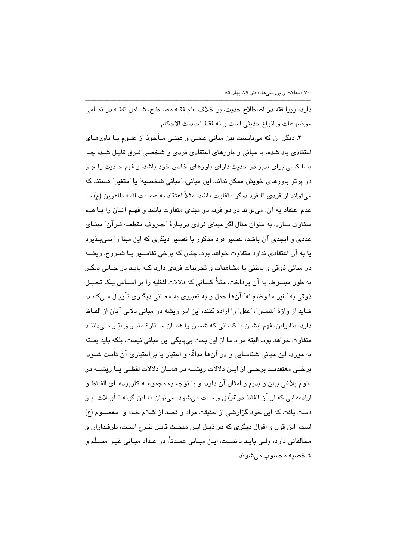دارد، زیرا فقه در اصطلاح حدیث، بر خلاف علم فقـه مصـطلح، شـامل تفقـه در تمـامی موضوعات و انواع حديثي است و نه فقط احاديث الاحكام.

۳. دیگر آن که میبایست بین مبانی علمـی و عینـی مـأخوذ از علـوم یـا باورهـای اعتقادی یاد شده، با مبانی و باورهای اعتقادی فردی و شخصی فـرق قایـل شـد، چـه بسا کسی برای تدبر در حدیث دارای باورهای خاص خود باشد، و فهم حـدیث را جـز در پرتو باورهای خویش ممکن نداند، این مبانی، "مبانی شخصیه" یا "متغیر" هستند که میتواند از فردی تا فرد دیگر متفاوت باشد. مثلاً اعتقاد به عصمت ائمه طاهرین (ع) یــا عدم اعتقاد به آن، میتواند در دو فرد، دو مبنای متفاوت باشد و فهـم آنـان را بـا هـم متفاوت سازد. به عنوان مثال اگر مبنای فردی دربـارهٔ "حـروف مقطعـه قـرآن" مبنـای عددی و ابجدی آن باشد، تفسیر فرد مذکور با تفسیر دیگری که این مبنا را نمیپذیرد یا به آن اعتقادی ندارد متفاوت خواهد بود. چنان که برخی تفاسـیر یـا شـروح، ریشـه در مبانی ذوقی و باطنی یا مشاهدات و تجربیات فردی دارد کــه بایـد در جــابی دیگــر به طور مبسوط، به آن پرداخت. مثلاً کسانی که دلالات لفظیه را بر اســاس یـک تحلیـل ذوقي به "غیر ما وضع له" آنها حمل و به تعبیري به معـاني دیگـري تأویـل مــ,كننـد، شايد از واژهٔ "شمس"، "عقل" را اراده كنند، اين امر ريشه در مباني دلالي آنان از الفـاظ دارد، بنابراین، فهم ایشان با کسانی که شمس را همـان سـتارهٔ منیـر و نیّـر مـیداننـد متفاوت خواهد بود. البته مراد ما از این بحث بی پایگی این مبانی نیست، بلکه باید بسته به مورد، این مبانی شناسایی و در آنها مداقّه و اعتبار یا بیاعتباری آن ثابت شـود. برخــی معتقدنــد برخــی از ایــن دلالات ریشـــه در همــان دلالات لفظــی یــا ریشـــه در علوم بلاغي بيان و بديع و امثال آن دارد، و با توجه به مجموعـه كاربردهـاى الفـاظ و ارادههایی که از آن الفاظ در *قرآن* و سنت میشود، میتوان به این گونه تـأویلات نیـز دست یافت که این خود گزارشی از حقیقت مراد و قصد از کـلام خـدا و معصــوم (ع) است. این قول و اقوال دیگری که در ذیل این مبحث قابل طرح است، طرفداران و مخالفانی دارد، ولـی بایـد دانسـت، ایـن مبـانی عمـدتاً، در عـداد مبـانی غیـر مسـلّم و شخصيه محسوب مي شوند.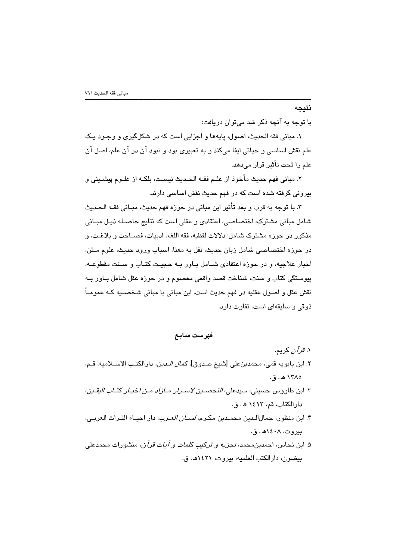## نتيجه

با توجه به آنچه ذکر شد می توان دریافت:

۱. مبانی فقه الحدیث، اصول، پایهها و اجزایی است که در شکلگیری و وجـود یـک علم نقش اساسي و حياتي ايفا ميكند و به تعبيري بود و نبود آن در آن علم، اصل آن علم را تحت تأثير قرار مے،دھد.

٢. مباني فهم حديث مأخوذ از علـم فقــه الحـديث نيسـت، بلكـه از علـوم پيشــيني و بیرونی گرفته شده است که در فهم حدیث نقش اساسی دارند.

٣. با توجه به قرب و بعد تأثير اين مباني در حوزه فهم حديث، مبـاني فقــه الـحـديث شامل مبانی مشترک، اختصاصی، اعتقادی و عقلی است که نتایج حاصـله ذیـل مبـانی مذكور در حوزه مشترك شامل: دلالات لفظيه، فقه اللغه، ادبيات، فصــاحت و بلاغـت، و در حوزه اختصاصی شامل زبان حدیث، نقل به معنا، اسباب ورود حدیث، علوم مـتن، اخبار علاجیه، و در حوزه اعتقادی شـامل بـاور بـه حجیـت کتـاب و سـنت مقطوعـه، پیوستگی کتاب و سنت، شناخت قصد واقعی معصوم و در حوزه عقل شامل بـاور بـه نقش عقل و اصول عقليه در فهم حديث است. اين مباني با مباني شخصـيه كــه عمومــاً ذوقی و سلیقهای است، تفاوت دارد.

#### فهرست منابع

۱*. قرآن* کريم. ٢. ابن بابويه قمي، محمدبنعلي [شيخ صدوق]، *كمال الـدين،* دارالكتـب الاســلاميه، قــم، ١٣٨٥ هـ. ق.

- ٣. ابن طاووس حسيني، سيدعلي، *التحصـين لاسـرار مـازاد مـن اخبـار كتـاب اليقـين*، دارالكتاب، قم، ١٤١٣ ه. ق.
- ۴. ابن منظور، جمالالـدين محمـدبن مكـرم، *لســان العـرب*، دار احيـاء التـراث العربـي، بيروت، ١٤٠٨هـ. ق.
- ۵. ابن نحاس، احمدبن محمد، *تجزیه و ترکیب کلمات و آیات قرآن،* منشورات محمدعلی بيضون، دارالكتب العلميه، بيروت، ١٤٢١هـ. ق.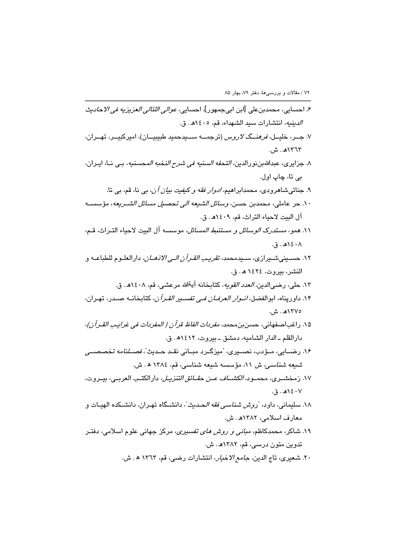۶. احسايي، محمدبنعلي [ابن ابيجمهور]، احسايي، *عوالي اللئالي العزيزيه في الاحاديث* الدينيه، انتشارات سيد الشهداء، قم، ٤٠٥/هـ. ق. ۷. جــر، خليــل، *فرهنــگ لاروس* (ترجمـــه ســـيدحميد طبيبيــان)، اميركبيــر، تهــران، ١٣٦٣هـ. ش. ٨. جزايرى، عبدالله بن نورالدين، *التحفه السننيه في شرح النخبه المحسننيه*، بـي نــا، ايـران، بي تا، ڇاپ اول. ۹. جناتیشاهرودی، محمدابراهیم*، ادوار فقه و کیفیت بیان آن*، بی نا، قم، بی تا. ١٠. حر عاملي، محمدبن حسن، *وسائل الشيعه الي تحصيل مسائل الشـريعه*، مؤسسـه آل البيت لاحياء التراث، قم، ١٤٠٩هـ. ق. ١١. همو، *مستدرك الوسائل و مستنبط المسائل،* موسسه آل البيت لاحياء التبراث، قبم،  $\lambda$ ۰۶٬۸۰۰ ق. ١٢. حسـيني شـيرازي، سـيدمحمد، *تقريب القـرآن الـي الاذهـان،* دارالعلـوم للطباعــه و النشر، بيروت، ١٤٢٤ هـ. ق. ١٣. حلي، رضي|لدين*، العدد القويه*، كتابخانه آيةالله مرعشي، قم، ١٤٠٨هـ. ق. ۱۴. داورپناه، ابوالفضل، *انـوار العرفـان فـی تفسـير القـرآن*، كتابـخانــه صــدر، تهـران، ١٣٧٥هـ. ش. ١۵. راغباصفهاني، حسن بن محمد، *مفردات الفاظ قرآن ( المفردات في غرابب القـرآن)*، دارالقلم ـ الدار الشاميه، دمشق ـ بيروت، ١٤١٢هـ. ق. ۱۶. رضــایی، مـؤدب، نصــیری، "میزگــرد مبــانی نقــد حــدیث"، *فصــلنامه تخصصــی* شبعه شناسى، ش ١١، مؤسسه شيعه شناسى، قم، ١٣٨٤ ه. ش. ١٧. زمخشــري، محمــود، *الكشـــاف عــن حقــائق التنزيــل*، دارالكتــد العربــي، بيــروت،  $.5.8$   $(4.5.7)$ ۱۸. سلیمانی، داود، "ر*وش شناسی فقه الحـدیث*"، دانشـگاه تهـران، دانشـکده الهبــات و معارف اسلامی، ۱۳۸۲هـ. ش. ۱۹. شاکر، محمدکاظم، *مبانی و روش های تفسیری،* مرکز جهانی علوم اسلامی، دفتـر تدوين متون درسي، قم، ١٣٨٢هـ. ش. ٢٠. شعيري، تاج الدين، ج*امع الاخيار*، انتشارات رضي، قم، ١٣٦٣ ه. ش.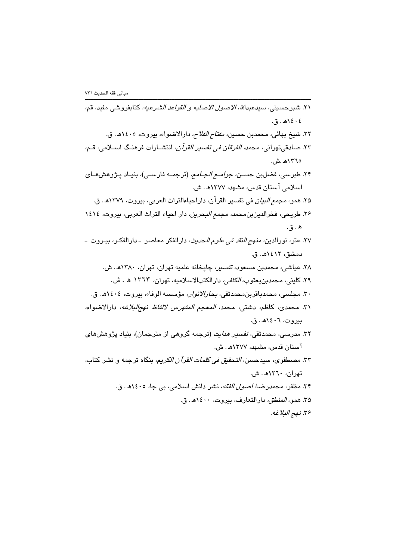| ٢١. شبرحسيني، سيدعبدالله، <i>الاصول الاصليه و القواعد الشرعيه،</i> كتابفروشى مفيد، قم،                 |
|--------------------------------------------------------------------------------------------------------|
| ٤٠٤١هـ. ق.                                                                                             |
| ۲۲. شیخ بهائی، محمدبن حسین <i>، مفتاح الفلاح،</i> دارالاضواء، بیروت، ۱٤۰۵ه. ق.                         |
| ۲۳. صادقیتهرانی، محم <i>د، الفرقان فی تفسیر القرآن،</i> انتشــارات فرهنـگ اســلامی، قــم،              |
| ١٣٦٥هـ.ش.                                                                                              |
| ۲۴. طبرس <i>ی،</i> فضلبن حســن، <i>جوامــع الجــامـع،</i> (ترجمــه فارســی)، بنیـاد پــژوهشهــای       |
| اسلامی آستان قدس، مشهد، ۱۳۷۷هـ. ش.                                                                     |
| ۲۵. همو، <i>مجمع البيان</i> في تفسير القرآن، داراحياءالتراث العربي، بيروت، ۱۳۷۹هـ. ق.                  |
| ۲۶. طریحی، فخرالدینبن،محمد، <i>مجمع البحرین،</i> دار احیاء التراث العربی، بیروت، ۱٤۱٤                  |
| ه . ق.                                                                                                 |
| ۲۷. عتر، نورالدین <i>، منهج النقد فی علوم ال</i> ح <i>دیث، د</i> ارالفکر معاصر  ـ دارالفکـر، بیـروت  ـ |
| دمشق، ۱۲١۲هـ. ق.                                                                                       |
| ۲۸. عیاشی، محمدبن مسعود، <i>تفسیر</i> ، چاپخانه علمیه تهران، تهران، ۱۳۸۰هـ. ش.                         |
| ۲۹. کلینی، محمدبنیعقوب <i>، الکافی،</i> دارالکتبالاسلامیه، تهران، ۱۳٦۳ ه . ش.                          |
| ۳۰. مجلسی، محمدباقربن، <i>محمد</i> تقی، <i>بحارالانوار،</i> مؤسسه الوفاء، بیروت، ۱٤۰٤هـ. ق.            |
| ۳۱. محمدی، کاظم، دشتی، محم <i>د، المعجم المفهرس لالفاظ نهجالبلاغه</i> ، دارالاضواء،                    |
| بيروت، ١٤٠٦هـ. ق.                                                                                      |
| ۳۲. مدرس <i>ی،</i> محمد <mark>تقی<i>، تفسیر هدایت</i> (ترجمه گروهی از مترجمان)، بنیاد پژوهشهای</mark>  |
| آستان قدس، مشهد، ۱۳۷۷هـ. ش.                                                                            |
| ۳۳. مصطفو <i>ی،</i> سیدحسن <i>، التحقیق فی کلمات القرآن الکریم</i> ، بنگاه ترجمه و نشر کتاب،           |
| تهران، ۱۳٦۰هـ. ش.                                                                                      |
| ۳۴. مظفر، محمدرضا، <i>اصول الفقه</i> ، نشر دانش اسلامی، بی جا، ۱٤۰۵هـ. ق.                              |
| ۳۵. همو، <i>المنطق،</i> دارالتعارف، بیروت، ۱٤۰۰هـ. ق.                                                  |
| ٣۶. نهج البلاغه.                                                                                       |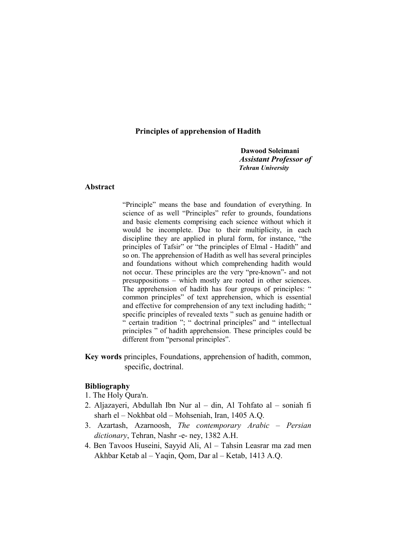## Principles of apprehension of Hadith

Dawood Soleimani **Assistant Professor of Tehran University** 

### Abstract

"Principle" means the base and foundation of everything. In science of as well "Principles" refer to grounds, foundations and basic elements comprising each science without which it would be incomplete. Due to their multiplicity, in each discipline they are applied in plural form, for instance, "the principles of Tafsir" or "the principles of Elmal - Hadith" and so on. The apprehension of Hadith as well has several principles and foundations without which comprehending hadith would not occur. These principles are the very "pre-known"- and not presuppositions – which mostly are rooted in other sciences. The apprehension of hadith has four groups of principles: " common principles" of text apprehension, which is essential and effective for comprehension of any text including hadith; " specific principles of revealed texts " such as genuine hadith or " certain tradition "; " doctrinal principles" and " intellectual principles " of hadith apprehension. These principles could be different from "personal principles".

Key words principles, Foundations, apprehension of hadith, common, specific, doctrinal.

### **Bibliography**

- 1. The Holy Qura'n.
- 2. Aljazayeri, Abdullah Ibn Nur al din, Al Tohfato al soniah fi sharh el - Nokhbat old - Mohseniah, Iran, 1405 A.Q.
- 3. Azartash, Azarnoosh, The contemporary Arabic Persian dictionary, Tehran, Nashr -e- ney, 1382 A.H.
- 4. Ben Tavoos Huseini, Sayyid Ali, Al Tahsin Leasrar ma zad men Akhbar Ketab al – Yaqin, Qom, Dar al – Ketab, 1413 A.Q.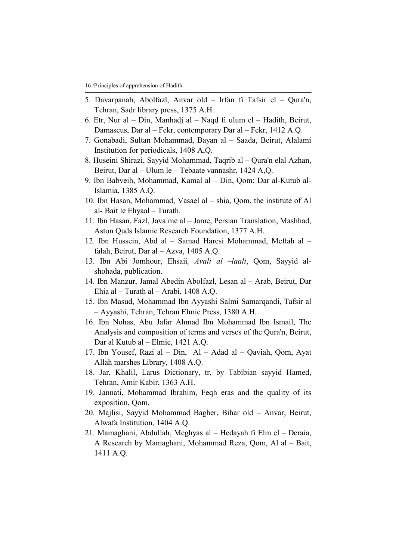- 5. Davarpanah, Abolfazl, Anvar old Irfan fi Tafsir el Qura'n, Tehran, Sadr library press, 1375 A.H.
- 6. Etr, Nur al Din, Manhadi al Nagd fi ulum el Hadith, Beirut, Damascus, Dar al – Fekr, contemporary Dar al – Fekr, 1412 A.Q.
- 7. Gonabadi, Sultan Mohammad, Bayan al Saada, Beirut, Alalami Institution for periodicals, 1408 A, Q.
- 8. Huseini Shirazi, Sayyid Mohammad, Taqrib al Qura'n elal Azhan, Beirut, Dar al – Ulum le – Tebaate vannashr, 1424 A,Q.
- 9. Ibn Babveih, Mohammad, Kamal al Din, Qom: Dar al-Kutub al-Islamia, 1385 A.Q.
- 10. Ibn Hasan, Mohammad, Vasael al shia, Qom, the institute of Al al-Bait le Ehyaal - Turath.
- 11. Ibn Hasan, Fazl, Java me al Jame, Persian Translation, Mashhad, Aston Ouds Islamic Research Foundation, 1377 A.H.
- 12. Ibn Hussein, Abd al Samad Haresi Mohammad, Meftah al falah, Beirut, Dar al - Azva, 1405 A.O.
- 13. Ibn Abi Jomhour, Ehsaii, Avali al -laali, Qom, Sayyid alshohada, publication.
- 14. Ibn Manzur, Jamal Abedin Abolfazl, Lesan al Arab, Beirut, Dar Ehia al – Turath al – Arabi, 1408 A.Q.
- 15. Ibn Masud, Mohammad Ibn Ayyashi Salmi Samarqandi, Tafsir al - Ayyashi, Tehran, Tehran Elmie Press, 1380 A.H.
- 16. Ibn Nohas, Abu Jafar Ahmad Ibn Mohammad Ibn Ismail, The Analysis and composition of terms and verses of the Qura'n, Beirut, Dar al Kutub al – Elmie, 1421 A.Q.
- 17. Ibn Yousef, Razi al Din, Al Adad al Qaviah, Qom, Ayat Allah marshes Library, 1408 A.Q.
- 18. Jar, Khalil, Larus Dictionary, tr, by Tabibian sayyid Hamed, Tehran, Amir Kabir, 1363 A.H.
- 19. Jannati, Mohammad Ibrahim, Feqh eras and the quality of its exposition, Qom.
- 20. Majlisi, Sayyid Mohammad Bagher, Bihar old Anvar, Beirut, Alwafa Institution, 1404 A.Q.
- 21. Mamaghani, Abdullah, Meghyas al Hedayah fi Elm el Deraia, A Research by Mamaghani, Mohammad Reza, Qom, Al al - Bait, 1411 A.Q.